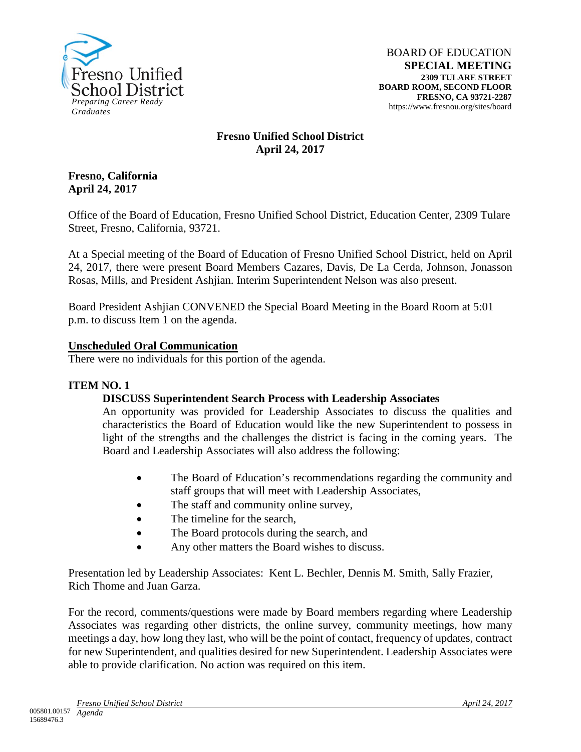

# **Fresno Unified School District April 24, 2017**

## **Fresno, California April 24, 2017**

Office of the Board of Education, Fresno Unified School District, Education Center, 2309 Tulare Street, Fresno, California, 93721.

At a Special meeting of the Board of Education of Fresno Unified School District, held on April 24, 2017, there were present Board Members Cazares, Davis, De La Cerda, Johnson, Jonasson Rosas, Mills, and President Ashjian. Interim Superintendent Nelson was also present.

Board President Ashjian CONVENED the Special Board Meeting in the Board Room at 5:01 p.m. to discuss Item 1 on the agenda.

### **Unscheduled Oral Communication**

There were no individuals for this portion of the agenda.

### **ITEM NO. 1**

### **DISCUSS Superintendent Search Process with Leadership Associates**

An opportunity was provided for Leadership Associates to discuss the qualities and characteristics the Board of Education would like the new Superintendent to possess in light of the strengths and the challenges the district is facing in the coming years. The Board and Leadership Associates will also address the following:

- The Board of Education's recommendations regarding the community and staff groups that will meet with Leadership Associates,
- The staff and community online survey,
- The timeline for the search,
- The Board protocols during the search, and
- Any other matters the Board wishes to discuss.

Presentation led by Leadership Associates: Kent L. Bechler, Dennis M. Smith, Sally Frazier, Rich Thome and Juan Garza.

For the record, comments/questions were made by Board members regarding where Leadership Associates was regarding other districts, the online survey, community meetings, how many meetings a day, how long they last, who will be the point of contact, frequency of updates, contract for new Superintendent, and qualities desired for new Superintendent. Leadership Associates were able to provide clarification. No action was required on this item.